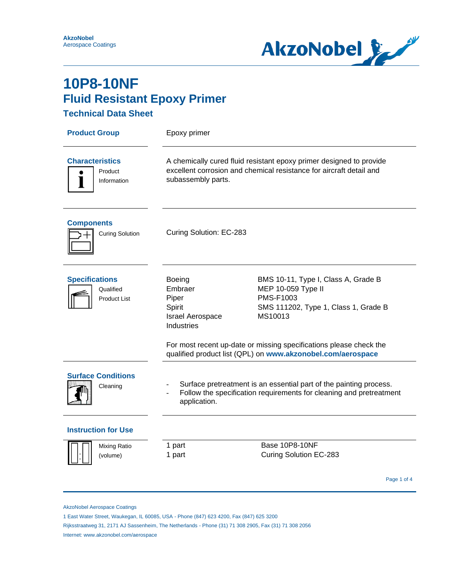

#### **Technical Data Sheet**

| <b>Product Group</b>                                          | Epoxy primer                                                                                                                                                     |                                                                                                                           |  |
|---------------------------------------------------------------|------------------------------------------------------------------------------------------------------------------------------------------------------------------|---------------------------------------------------------------------------------------------------------------------------|--|
| <b>Characteristics</b><br>Product<br>$\bullet$<br>Information | A chemically cured fluid resistant epoxy primer designed to provide<br>excellent corrosion and chemical resistance for aircraft detail and<br>subassembly parts. |                                                                                                                           |  |
| <b>Components</b><br><b>Curing Solution</b>                   | Curing Solution: EC-283                                                                                                                                          |                                                                                                                           |  |
| <b>Specifications</b><br>Qualified<br><b>Product List</b>     | <b>Boeing</b><br>Embraer<br>Piper<br>Spirit<br><b>Israel Aerospace</b><br><b>Industries</b>                                                                      | BMS 10-11, Type I, Class A, Grade B<br>MEP 10-059 Type II<br>PMS-F1003<br>SMS 111202, Type 1, Class 1, Grade B<br>MS10013 |  |
|                                                               | For most recent up-date or missing specifications please check the<br>qualified product list (QPL) on www.akzonobel.com/aerospace                                |                                                                                                                           |  |
| <b>Surface Conditions</b><br>Cleaning                         | Surface pretreatment is an essential part of the painting process.<br>Follow the specification requirements for cleaning and pretreatment<br>application.        |                                                                                                                           |  |
| <b>Instruction for Use</b>                                    |                                                                                                                                                                  |                                                                                                                           |  |
| Mixing Ratio<br>(volume)                                      | 1 part<br>1 part                                                                                                                                                 | <b>Base 10P8-10NF</b><br>Curing Solution EC-283                                                                           |  |
|                                                               |                                                                                                                                                                  | Page 1 of 4                                                                                                               |  |

AkzoNobel Aerospace Coatings

1 East Water Street, Waukegan, IL 60085, USA - Phone (847) 623 4200, Fax (847) 625 3200

Rijksstraatweg 31, 2171 AJ Sassenheim, The Netherlands - Phone (31) 71 308 2905, Fax (31) 71 308 2056

Internet: www.akzonobel.com/aerospace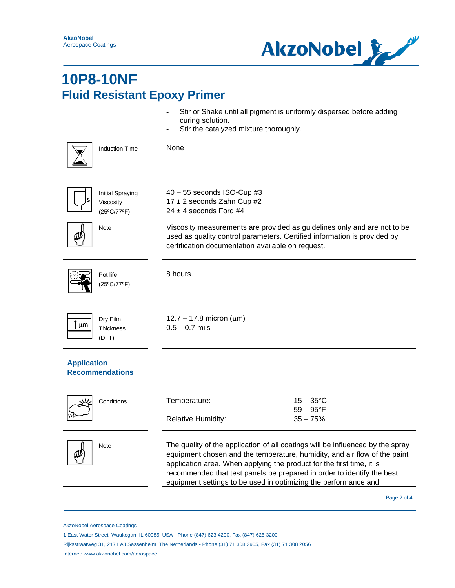

|                                                          | curing solution.<br>Stir the catalyzed mixture thoroughly.                                                                                                                                                                                                                                                                                                                        | Stir or Shake until all pigment is uniformly dispersed before adding                                                                                 |
|----------------------------------------------------------|-----------------------------------------------------------------------------------------------------------------------------------------------------------------------------------------------------------------------------------------------------------------------------------------------------------------------------------------------------------------------------------|------------------------------------------------------------------------------------------------------------------------------------------------------|
| <b>Induction Time</b>                                    | None                                                                                                                                                                                                                                                                                                                                                                              |                                                                                                                                                      |
| Initial Spraying<br>Viscosity<br>(25°C/77°F)             | $40 - 55$ seconds ISO-Cup #3<br>17 ± 2 seconds Zahn Cup #2<br>$24 \pm 4$ seconds Ford #4                                                                                                                                                                                                                                                                                          |                                                                                                                                                      |
| Note                                                     | certification documentation available on request.                                                                                                                                                                                                                                                                                                                                 | Viscosity measurements are provided as guidelines only and are not to be<br>used as quality control parameters. Certified information is provided by |
| Pot life<br>(25°C/77°F)                                  | 8 hours.                                                                                                                                                                                                                                                                                                                                                                          |                                                                                                                                                      |
| Dry Film<br>$\mathbf{l}$ µm<br><b>Thickness</b><br>(DFT) | 12.7 – 17.8 micron ( $\mu$ m)<br>$0.5 - 0.7$ mils                                                                                                                                                                                                                                                                                                                                 |                                                                                                                                                      |
| <b>Application</b><br><b>Recommendations</b>             |                                                                                                                                                                                                                                                                                                                                                                                   |                                                                                                                                                      |
| Conditions                                               | Temperature:<br><b>Relative Humidity:</b>                                                                                                                                                                                                                                                                                                                                         | $15 - 35^{\circ}$ C<br>$59 - 95^{\circ}F$<br>$35 - 75%$                                                                                              |
| Note                                                     | The quality of the application of all coatings will be influenced by the spray<br>equipment chosen and the temperature, humidity, and air flow of the paint<br>application area. When applying the product for the first time, it is<br>recommended that test panels be prepared in order to identify the best<br>equipment settings to be used in optimizing the performance and |                                                                                                                                                      |
|                                                          |                                                                                                                                                                                                                                                                                                                                                                                   | Page 2 of 4                                                                                                                                          |

AkzoNobel Aerospace Coatings

Internet: www.akzonobel.com/aerospace

<sup>1</sup> East Water Street, Waukegan, IL 60085, USA - Phone (847) 623 4200, Fax (847) 625 3200

Rijksstraatweg 31, 2171 AJ Sassenheim, The Netherlands - Phone (31) 71 308 2905, Fax (31) 71 308 2056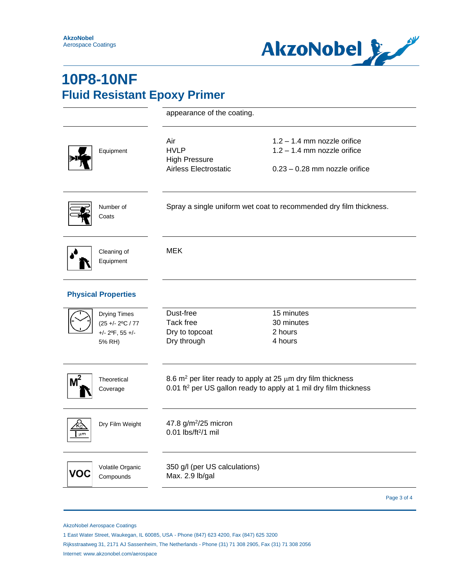

|                                                                                | appearance of the coating.                                          |                                                                                                                                                      |  |
|--------------------------------------------------------------------------------|---------------------------------------------------------------------|------------------------------------------------------------------------------------------------------------------------------------------------------|--|
| Equipment                                                                      | Air<br><b>HVLP</b><br><b>High Pressure</b><br>Airless Electrostatic | $1.2 - 1.4$ mm nozzle orifice<br>$1.2 - 1.4$ mm nozzle orifice<br>$0.23 - 0.28$ mm nozzle orifice                                                    |  |
| Number of<br>Coats                                                             | Spray a single uniform wet coat to recommended dry film thickness.  |                                                                                                                                                      |  |
| Cleaning of<br>Equipment                                                       | <b>MEK</b>                                                          |                                                                                                                                                      |  |
| <b>Physical Properties</b>                                                     |                                                                     |                                                                                                                                                      |  |
| Drying Times<br>(25 +/- 2°C / 77<br>$+/- 2$ <sup>o</sup> F, 55 $+/-$<br>5% RH) | Dust-free<br>Tack free<br>Dry to topcoat<br>Dry through             | 15 minutes<br>30 minutes<br>2 hours<br>4 hours                                                                                                       |  |
| $M^2$<br>Theoretical<br>Coverage                                               |                                                                     | 8.6 $m^2$ per liter ready to apply at 25 $\mu$ m dry film thickness<br>0.01 ft <sup>2</sup> per US gallon ready to apply at 1 mil dry film thickness |  |
| Dry Film Weight<br>µm                                                          | 47.8 g/m <sup>2</sup> /25 micron<br>0.01 lbs/ft <sup>2</sup> /1 mil |                                                                                                                                                      |  |
| Volatile Organic<br>/OC<br>Compounds                                           | 350 g/l (per US calculations)<br>Max. 2.9 lb/gal                    |                                                                                                                                                      |  |
|                                                                                |                                                                     | Page 3 of 4                                                                                                                                          |  |

AkzoNobel Aerospace Coatings

- Rijksstraatweg 31, 2171 AJ Sassenheim, The Netherlands Phone (31) 71 308 2905, Fax (31) 71 308 2056
- Internet: www.akzonobel.com/aerospace

<sup>1</sup> East Water Street, Waukegan, IL 60085, USA - Phone (847) 623 4200, Fax (847) 625 3200